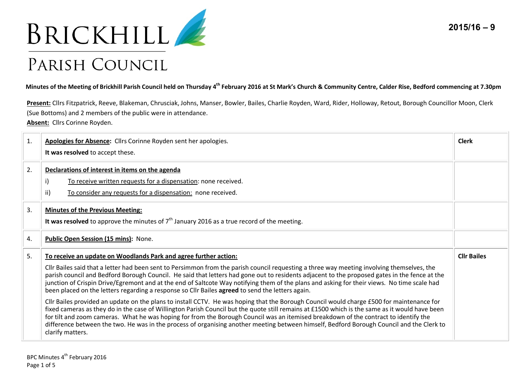

## PARISH COUNCIL

**Minutes of the Meeting of Brickhill Parish Council held on Thursday 4th February 2016 at St Mark's Church & Community Centre, Calder Rise, Bedford commencing at 7.30pm** 

**Present:** Cllrs Fitzpatrick, Reeve, Blakeman, Chrusciak, Johns, Manser, Bowler, Bailes, Charlie Royden, Ward, Rider, Holloway, Retout, Borough Councillor Moon, Clerk (Sue Bottoms) and 2 members of the public were in attendance. **Absent:** Cllrs Corinne Royden.

| 1. | Apologies for Absence: Cllrs Corinne Royden sent her apologies.<br>It was resolved to accept these.                                                                                                                                                                                                                                                                                                                                                                                                                                                                                                                                                                                                                                                                                                                                                                                                                                                                                                                                                                                                                                                                                                                        | <b>Clerk</b>       |
|----|----------------------------------------------------------------------------------------------------------------------------------------------------------------------------------------------------------------------------------------------------------------------------------------------------------------------------------------------------------------------------------------------------------------------------------------------------------------------------------------------------------------------------------------------------------------------------------------------------------------------------------------------------------------------------------------------------------------------------------------------------------------------------------------------------------------------------------------------------------------------------------------------------------------------------------------------------------------------------------------------------------------------------------------------------------------------------------------------------------------------------------------------------------------------------------------------------------------------------|--------------------|
| 2. | Declarations of interest in items on the agenda<br>$\mathsf{i}$<br>To receive written requests for a dispensation: none received.<br>ii)<br>To consider any requests for a dispensation: none received.                                                                                                                                                                                                                                                                                                                                                                                                                                                                                                                                                                                                                                                                                                                                                                                                                                                                                                                                                                                                                    |                    |
| 3. | <b>Minutes of the Previous Meeting:</b><br>It was resolved to approve the minutes of $7th$ January 2016 as a true record of the meeting.                                                                                                                                                                                                                                                                                                                                                                                                                                                                                                                                                                                                                                                                                                                                                                                                                                                                                                                                                                                                                                                                                   |                    |
| 4. | Public Open Session (15 mins): None.                                                                                                                                                                                                                                                                                                                                                                                                                                                                                                                                                                                                                                                                                                                                                                                                                                                                                                                                                                                                                                                                                                                                                                                       |                    |
| 5. | To receive an update on Woodlands Park and agree further action:<br>Cllr Bailes said that a letter had been sent to Persimmon from the parish council requesting a three way meeting involving themselves, the<br>parish council and Bedford Borough Council. He said that letters had gone out to residents adjacent to the proposed gates in the fence at the<br>junction of Crispin Drive/Egremont and at the end of Saltcote Way notifying them of the plans and asking for their views. No time scale had<br>been placed on the letters regarding a response so Cllr Bailes agreed to send the letters again.<br>Cllr Bailes provided an update on the plans to install CCTV. He was hoping that the Borough Council would charge £500 for maintenance for<br>fixed cameras as they do in the case of Willington Parish Council but the quote still remains at £1500 which is the same as it would have been<br>for tilt and zoom cameras. What he was hoping for from the Borough Council was an itemised breakdown of the contract to identify the<br>difference between the two. He was in the process of organising another meeting between himself, Bedford Borough Council and the Clerk to<br>clarify matters. | <b>Cllr Bailes</b> |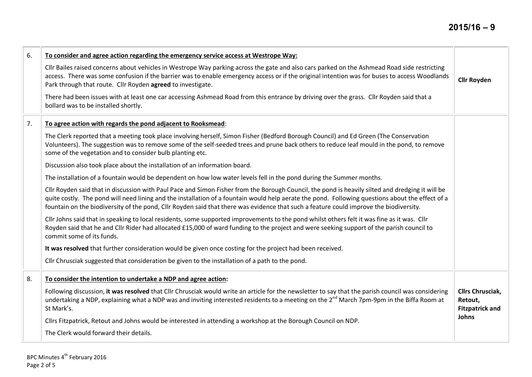| 6. | To consider and agree action regarding the emergency service access at Westrope Way:                                                                                                                                                                                                                                                                                                                                                           |                                                                       |  |  |
|----|------------------------------------------------------------------------------------------------------------------------------------------------------------------------------------------------------------------------------------------------------------------------------------------------------------------------------------------------------------------------------------------------------------------------------------------------|-----------------------------------------------------------------------|--|--|
|    | Cllr Bailes raised concerns about vehicles in Westrope Way parking across the gate and also cars parked on the Ashmead Road side restricting<br>access. There was some confusion if the barrier was to enable emergency access or if the original intention was for buses to access Woodlands<br>Park through that route. Cllr Royden agreed to investigate.                                                                                   | <b>Cllr Royden</b>                                                    |  |  |
|    | There had been issues with at least one car accessing Ashmead Road from this entrance by driving over the grass. Cllr Royden said that a<br>bollard was to be installed shortly.                                                                                                                                                                                                                                                               |                                                                       |  |  |
| 7. | To agree action with regards the pond adjacent to Rooksmead:                                                                                                                                                                                                                                                                                                                                                                                   |                                                                       |  |  |
|    | The Clerk reported that a meeting took place involving herself, Simon Fisher (Bedford Borough Council) and Ed Green (The Conservation<br>Volunteers). The suggestion was to remove some of the self-seeded trees and prune back others to reduce leaf mould in the pond, to remove<br>some of the vegetation and to consider bulb planting etc.                                                                                                |                                                                       |  |  |
|    | Discussion also took place about the installation of an information board.                                                                                                                                                                                                                                                                                                                                                                     |                                                                       |  |  |
|    | The installation of a fountain would be dependent on how low water levels fell in the pond during the Summer months.                                                                                                                                                                                                                                                                                                                           |                                                                       |  |  |
|    | Cllr Royden said that in discussion with Paul Pace and Simon Fisher from the Borough Council, the pond is heavily silted and dredging it will be<br>quite costly. The pond will need lining and the installation of a fountain would help aerate the pond. Following questions about the effect of a<br>fountain on the biodiversity of the pond, Cllr Royden said that there was evidence that such a feature could improve the biodiversity. |                                                                       |  |  |
|    | Cllr Johns said that in speaking to local residents, some supported improvements to the pond whilst others felt it was fine as it was. Cllr<br>Royden said that he and Cllr Rider had allocated £15,000 of ward funding to the project and were seeking support of the parish council to<br>commit some of its funds.                                                                                                                          |                                                                       |  |  |
|    | It was resolved that further consideration would be given once costing for the project had been received.                                                                                                                                                                                                                                                                                                                                      |                                                                       |  |  |
|    | Cllr Chrusciak suggested that consideration be given to the installation of a path to the pond.                                                                                                                                                                                                                                                                                                                                                |                                                                       |  |  |
| 8. | To consider the intention to undertake a NDP and agree action:                                                                                                                                                                                                                                                                                                                                                                                 |                                                                       |  |  |
|    | Following discussion, it was resolved that Cllr Chrusciak would write an article for the newsletter to say that the parish council was considering<br>undertaking a NDP, explaining what a NDP was and inviting interested residents to a meeting on the 2 <sup>nd</sup> March 7pm-9pm in the Biffa Room at<br>St Mark's.                                                                                                                      | <b>Cllrs Chrusciak,</b><br>Retout,<br><b>Fitzpatrick and</b><br>Johns |  |  |
|    | Cllrs Fitzpatrick, Retout and Johns would be interested in attending a workshop at the Borough Council on NDP.                                                                                                                                                                                                                                                                                                                                 |                                                                       |  |  |
|    | The Clerk would forward their details.                                                                                                                                                                                                                                                                                                                                                                                                         |                                                                       |  |  |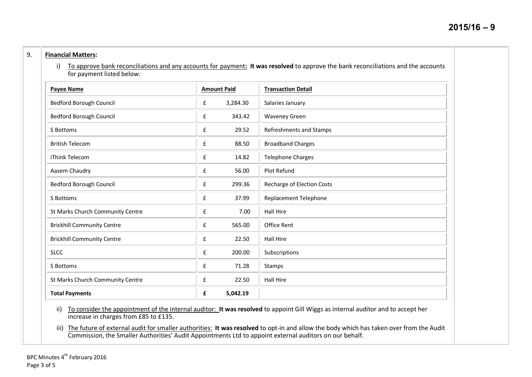## 9. **Financial Matters:**

i) To approve bank reconciliations and any accounts for payment**: It was resolved** to approve the bank reconciliations and the accounts for payment listed below:

| Payee Name                        |   | <b>Amount Paid</b> | <b>Transaction Detail</b>  |
|-----------------------------------|---|--------------------|----------------------------|
| Bedford Borough Council           | £ | 3,284.30           | Salaries January           |
| Bedford Borough Council           | £ | 343.42             | <b>Waveney Green</b>       |
| S Bottoms                         | £ | 29.52              | Refreshments and Stamps    |
| <b>British Telecom</b>            | £ | 88.50              | <b>Broadband Charges</b>   |
| iThink Telecom                    | £ | 14.82              | <b>Telephone Charges</b>   |
| Aasem Chaudry                     | £ | 56.00              | Plot Refund                |
| Bedford Borough Council           | £ | 299.36             | Recharge of Election Costs |
| S Bottoms                         | £ | 37.99              | Replacement Telephone      |
| St Marks Church Community Centre  | £ | 7.00               | <b>Hall Hire</b>           |
| <b>Brickhill Community Centre</b> | £ | 565.00             | <b>Office Rent</b>         |
| <b>Brickhill Community Centre</b> | £ | 22.50              | <b>Hall Hire</b>           |
| <b>SLCC</b>                       | £ | 200.00             | Subscriptions              |
| S Bottoms                         | £ | 71.28              | Stamps                     |
| St Marks Church Community Centre  | £ | 22.50              | <b>Hall Hire</b>           |
| <b>Total Payments</b>             | £ | 5,042.19           |                            |

ii) To consider the appointment of the internal auditor: **It was resolved** to appoint Gill Wiggs as internal auditor and to accept her increase in charges from £85 to £135.

iii) The future of external audit for smaller authorities: **It was resolved** to opt-in and allow the body which has taken over from the Audit Commission, the Smaller Authorities' Audit Appointments Ltd to appoint external auditors on our behalf.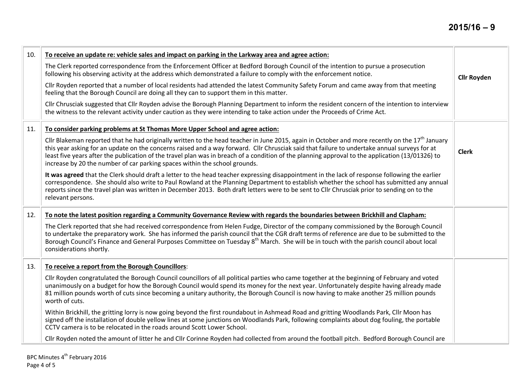| 10. | To receive an update re: vehicle sales and impact on parking in the Larkway area and agree action:                                                                                                                                                                                                                                                                                                                                                                                                                                 |                    |  |  |
|-----|------------------------------------------------------------------------------------------------------------------------------------------------------------------------------------------------------------------------------------------------------------------------------------------------------------------------------------------------------------------------------------------------------------------------------------------------------------------------------------------------------------------------------------|--------------------|--|--|
|     | The Clerk reported correspondence from the Enforcement Officer at Bedford Borough Council of the intention to pursue a prosecution<br>following his observing activity at the address which demonstrated a failure to comply with the enforcement notice.                                                                                                                                                                                                                                                                          | <b>Cllr Royden</b> |  |  |
|     | Cllr Royden reported that a number of local residents had attended the latest Community Safety Forum and came away from that meeting<br>feeling that the Borough Council are doing all they can to support them in this matter.                                                                                                                                                                                                                                                                                                    |                    |  |  |
|     | Cllr Chrusciak suggested that Cllr Royden advise the Borough Planning Department to inform the resident concern of the intention to interview<br>the witness to the relevant activity under caution as they were intending to take action under the Proceeds of Crime Act.                                                                                                                                                                                                                                                         |                    |  |  |
| 11. | To consider parking problems at St Thomas More Upper School and agree action:                                                                                                                                                                                                                                                                                                                                                                                                                                                      |                    |  |  |
|     | Cllr Blakeman reported that he had originally written to the head teacher in June 2015, again in October and more recently on the $17th$ January<br>this year asking for an update on the concerns raised and a way forward. Cllr Chrusciak said that failure to undertake annual surveys for at<br>least five years after the publication of the travel plan was in breach of a condition of the planning approval to the application (13/01326) to<br>increase by 20 the number of car parking spaces within the school grounds. | <b>Clerk</b>       |  |  |
|     | It was agreed that the Clerk should draft a letter to the head teacher expressing disappointment in the lack of response following the earlier<br>correspondence. She should also write to Paul Rowland at the Planning Department to establish whether the school has submitted any annual<br>reports since the travel plan was written in December 2013. Both draft letters were to be sent to Cllr Chrusciak prior to sending on to the<br>relevant persons.                                                                    |                    |  |  |
| 12. | To note the latest position regarding a Community Governance Review with regards the boundaries between Brickhill and Clapham:                                                                                                                                                                                                                                                                                                                                                                                                     |                    |  |  |
|     | The Clerk reported that she had received correspondence from Helen Fudge, Director of the company commissioned by the Borough Council<br>to undertake the preparatory work. She has informed the parish council that the CGR draft terms of reference are due to be submitted to the<br>Borough Council's Finance and General Purposes Committee on Tuesday 8 <sup>th</sup> March. She will be in touch with the parish council about local<br>considerations shortly.                                                             |                    |  |  |
| 13. | To receive a report from the Borough Councillors:                                                                                                                                                                                                                                                                                                                                                                                                                                                                                  |                    |  |  |
|     | Cllr Royden congratulated the Borough Council councillors of all political parties who came together at the beginning of February and voted<br>unanimously on a budget for how the Borough Council would spend its money for the next year. Unfortunately despite having already made<br>81 million pounds worth of cuts since becoming a unitary authority, the Borough Council is now having to make another 25 million pounds<br>worth of cuts.                                                                                 |                    |  |  |
|     | Within Brickhill, the gritting lorry is now going beyond the first roundabout in Ashmead Road and gritting Woodlands Park, Cllr Moon has<br>signed off the installation of double yellow lines at some junctions on Woodlands Park, following complaints about dog fouling, the portable<br>CCTV camera is to be relocated in the roads around Scott Lower School.                                                                                                                                                                 |                    |  |  |
|     | Cllr Royden noted the amount of litter he and Cllr Corinne Royden had collected from around the football pitch. Bedford Borough Council are                                                                                                                                                                                                                                                                                                                                                                                        |                    |  |  |